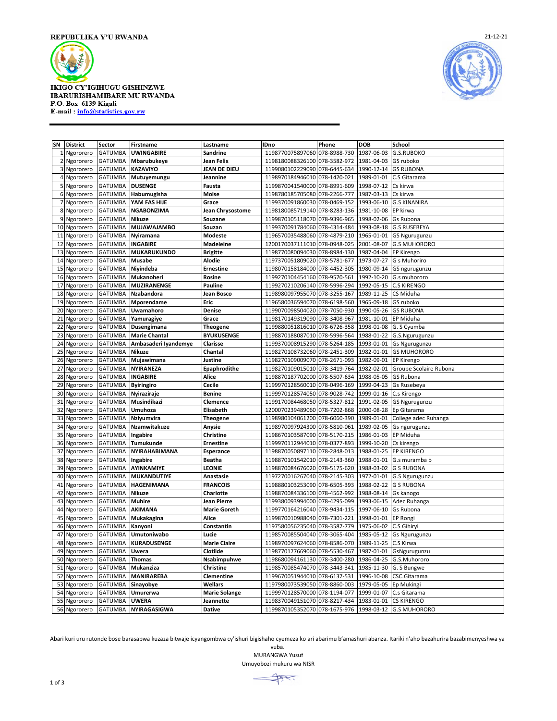

**IKIGO CY'IGIHUGU GISHINZWE** IBARURISHAMIBARE MU RWANDA P.O. Box 6139 Kigali E-mail: info@statistics.gov.rw



| SN             | <b>District</b>        | Sector                           | Firstname                          | Lastname                           | <b>IDno</b>                                                    | Phone        | <b>DOB</b>               | School                       |
|----------------|------------------------|----------------------------------|------------------------------------|------------------------------------|----------------------------------------------------------------|--------------|--------------------------|------------------------------|
| 1              | Ngororero              | <b>GATUMBA</b>                   | <b>UWINGABIRE</b>                  | Sandrine                           | 1198770075897060                                               | 078-8988-730 | 1987-06-03               | G.S.RUBOKO                   |
| $\overline{2}$ | Ngororero              | <b>GATUMBA</b>                   | Mbarubukeye                        | Jean Felix                         | 1198180088326100 078-3582-972                                  |              | 1981-04-03               | GS ruboko                    |
| 3              | Ngororero              | <b>GATUMBA</b>                   | KAZAVIYO                           | JEAN DE DIEU                       | 1199080102229090 078-6445-634                                  |              | 1990-12-14               | <b>GS RUBONA</b>             |
| $\overline{a}$ | Ngororero              | <b>GATUMBA</b>                   | Mutuyemungu                        | Jeannine                           | 1198970184946010 078-1420-021                                  |              | 1989-01-01               | C.S Gitarama                 |
| 5              | Ngororero              | <b>GATUMBA</b>                   | <b>DUSENGE</b>                     | Fausta                             | 1199870041540000 078-8991-609                                  |              | 1998-07-12               | Cs kirwa                     |
| 6              | Ngororero              | <b>GATUMBA</b>                   | Habumugisha                        | Moise                              | 1198780185705080 078-2266-777                                  |              | 1987-03-13               | Cs kirwa                     |
| 7              | Ngororero              | <b>GATUMBA</b>                   | YAM FAS HIJE                       | Grace                              | 1199370091860030 078-0469-152                                  |              | 1993-06-10               | <b>G.S KINANIRA</b>          |
| 8              | Ngororero              | <b>GATUMBA</b>                   | <b>NGABONZIMA</b>                  | Jean Chrysostome                   | 1198180085719140 078-8283-136                                  |              | 1981-10-08               | EP kirwa                     |
| 9              | Ngororero              | <b>GATUMBA</b>                   | Nikuze                             | Souzane                            | 1199870105118070 078-9396-965                                  |              | 1998-02-06               | <b>Gs Rubona</b>             |
| 10             | Ngororero              | <b>GATUMBA</b>                   | <b>MUJAWAJAMBO</b>                 | Souzan                             | 1199370091784060 078-4314-484                                  |              | 1993-08-18               | <b>G.S RUSEBEYA</b>          |
| 11             | Ngororero              | <b>GATUMBA</b>                   | Nyiramana                          | Modeste                            | 1196570035488060 078-4879-210                                  |              | 1965-01-01               | <b>GS Ngurugunzu</b>         |
| 12             | Ngororero              | <b>GATUMBA</b>                   | <b>INGABIRE</b>                    | <b>Madeleine</b>                   | 1200170037111010 078-0948-025                                  |              | 2001-08-07               | <b>G.S MUHORORO</b>          |
| 13             | Ngororero              | <b>GATUMBA</b>                   | <b>MUKARUKUNDO</b>                 | <b>Brigitte</b>                    | 1198770080094030 078-8984-130                                  |              | 1987-04-04               | <b>EP Kirengo</b>            |
| 14             | Ngororero              | <b>GATUMBA</b>                   | Musabe                             | Alodie                             | 1197370051809020 078-5781-677                                  |              | 1973-07-27               | G s Muhoriro                 |
| 15             | Ngororero              | <b>GATUMBA</b>                   | Nivindeba                          | <b>Ernestine</b>                   | 1198070158184000 078-4452-305                                  |              | 1980-09-14               | GS ngurugunzu                |
| 16             | Ngororero              | <b>GATUMBA</b>                   | Mukanoheri                         | Rosine                             | 1199270104454160 078-9570-561                                  |              | 1992-10-20               | G.s muhororo                 |
| 17             | Ngororero              | <b>GATUMBA</b>                   | <b>MUZIRANENGE</b>                 | <b>Pauline</b>                     | 1199270210206140 078-5996-294                                  |              | 1992-05-15               | <b>C.S KIRENGO</b>           |
| 18             | Ngororero              | <b>GATUMBA</b>                   | Nzabandora                         | Jean Bosco                         | 1198980097955070 078-3255-167                                  |              | 1989-11-25               | CS Miduha                    |
| 19             | Ngororero              | <b>GATUMBA</b>                   | Mporendame                         | Eric                               | 1196580036594070 078-6198-560                                  |              | 1965-09-18               | GS ruboko                    |
| 20             | Ngororero              | <b>GATUMBA</b>                   | Uwamahoro                          | Denise                             | 1199070098504020 078-7050-930                                  |              | 1990-05-26               | <b>GS RUBONA</b>             |
| 21             | Ngororero              | <b>GATUMBA</b>                   | Yamuragiye                         | Grace                              | 1198170149319090 078-3408-967                                  |              | 1981-10-01               | EP Miduha                    |
| 22             | Ngororero              | <b>GATUMBA</b>                   | Dusengimana                        | <b>Theogene</b>                    | 1199880051816010 078-6726-358                                  |              | 1998-01-08               | G. S Cyumba                  |
| 23             | Ngororero              | <b>GATUMBA</b>                   | <b>Marie Chantal</b>               | <b>BYUKUSENGE</b>                  | 1198870188087010 078-5996-564                                  |              | 1988-01-22               | G.S.Ngurugunzu               |
| 24             | Ngororero              | <b>GATUMBA</b>                   | Ambasaderi Iyandemye               | Clarisse                           | 1199370008915290 078-5264-185                                  |              | 1993-01-01               | <b>Gs Ngurugunzu</b>         |
| 25             | Ngororero              | <b>GATUMBA</b>                   | <b>Nikuze</b>                      | Chantal                            | 1198270108732060 078-2451-309                                  |              | 1982-01-01               | <b>GS MUHORORO</b>           |
| 26             | Ngororero              | <b>GATUMBA</b>                   | Mujawimana                         | Justine                            | 1198270109009070 078-2671-093                                  |              | 1982-09-01               | <b>EP Kirengo</b>            |
| 27             | Ngororero              | <b>GATUMBA</b>                   | <b>NYIRANEZA</b>                   | Epaphrodithe                       | 1198270109015010 078-3419-764                                  |              | 1982-02-01               | Groupe Scolaire Rubona       |
| 28             | Ngororero              | <b>GATUMBA</b>                   | <b>INGABIRE</b>                    | Alice                              | 1198870187702000 078-5507-634                                  |              | 1988-05-05               | GS Rubona                    |
| 29             | Ngororero              | <b>GATUMBA</b>                   | <b>Byiringiro</b>                  | Cecile                             | 1199970128560010 078-0496-169                                  |              | 1999-04-23               | Gs Rusebeya                  |
| 30             | Ngororero              | <b>GATUMBA</b>                   | Nyiraziraje                        | <b>Benine</b>                      | 1199970128574050 078-9028-742                                  |              | 1999-01-16               | C.s Kirengo                  |
| 31             | Ngororero              | <b>GATUMBA</b>                   | Musindikazi                        | Clemence                           | 1199170084468050 078-5327-812                                  |              | 1991-02-05               | <b>GS Ngurugunzu</b>         |
| 32             | Ngororero              | <b>GATUMBA</b>                   | Umuhoza                            | Elisabeth                          | 1200070239489060 078-7202-868                                  |              | 2000-08-28               | Ep Gitarama                  |
| 33             | Ngororero              | <b>GATUMBA</b>                   | Nziyumvira                         | <b>Theogene</b>                    | 1198980104061200 078-6060-390                                  |              | 1989-01-01               | College adec Ruhanga         |
| 34             | Ngororero              | <b>GATUMBA</b>                   | Nzamwitakuze                       | Anysie                             | 1198970097924300 078-5810-061                                  |              | 1989-02-05               | Gs ngurugunzu                |
| 35             | Ngororero              | <b>GATUMBA</b>                   | Ingabire                           | Christine                          | 1198670103587090 078-5170-215                                  |              | 1986-01-03               | EP Miduha                    |
| 36             | Ngororero              | <b>GATUMBA</b>                   | <b>Tumukunde</b>                   | <b>Ernestine</b>                   | 1199970112944010 078-0377-893                                  |              | 1999-10-20               | Cs kirengo                   |
| 37             | Ngororero              | <b>GATUMBA</b>                   | NYIRAHABIMANA                      | <b>Esperance</b>                   | 1198870050897110 078-2848-013                                  |              | 1988-01-25               | <b>EP KIRENGO</b>            |
| 38             | Ngororero              | <b>GATUMBA</b>                   | Ingabire                           | <b>Beatha</b>                      | 1198870101542010 078-2143-360                                  |              | 1988-01-01               | G.s muramba b                |
| 39             | Ngororero              | <b>GATUMBA</b>                   | AYINKAMIYE                         | LEONIE                             | 1198870084676020 078-5175-620                                  |              | 1988-03-02               | <b>G S RUBONA</b>            |
| 40             | Ngororero              | <b>GATUMBA</b>                   | <b>MUKANDUTIYE</b>                 | Anastasie                          | 1197270016267040 078-2145-303                                  |              | 1972-01-01               | <b>G.S Ngurugunzu</b>        |
| 41             | Ngororero              | <b>GATUMBA</b>                   | <b>HAGENIMANA</b>                  | <b>FRANCOIS</b>                    | 1198880103253090 078-6505-393                                  |              | 1988-02-22               | <b>G S RUBONA</b>            |
| 42             | Ngororero              | <b>GATUMBA</b>                   | <b>Nikuze</b>                      | Charlotte                          | 1198870084336100 078-4562-992                                  |              | 1988-08-14               | Gs kanogo                    |
| 43<br>44       | Ngororero              | <b>GATUMBA</b><br><b>GATUMBA</b> | <b>Muhire</b><br>AKIMANA           | Jean Pierre<br><b>Marie Goreth</b> | 1199380093994000 078-4295-099<br>1199770164216040 078-9434-115 |              | 1993-06-15<br>1997-06-10 | Adec Ruhanga<br>Gs Rubona    |
|                | Ngororero              |                                  |                                    |                                    |                                                                |              |                          |                              |
| 45<br>46       | Ngororero              | <b>GATUMBA</b>                   | Mukakagina                         | Alice                              | 1199870010988040 078-7301-221                                  |              | 1998-01-01               | EP Rongi                     |
| 47             | Ngororero              | <b>GATUMBA</b><br><b>GATUMBA</b> | Kanyoni<br>Umutoniwabo             | Constantin<br>Lucie                | 1197580056235040 078-3587-779<br>1198570085504040 078-3065-404 |              | 1975-06-02<br>1985-05-12 | C.S Gihiryi                  |
|                | Ngororero              |                                  |                                    |                                    |                                                                |              |                          | <b>Gs Ngurugunzu</b>         |
| 48<br>49       | Ngororero              | <b>GATUMBA</b><br><b>GATUMBA</b> | <b>KURADUSENGE</b><br><b>Uwera</b> | <b>Marie Claire</b>                | 1198970097624060 078-8586-070                                  |              | 1989-11-25<br>1987-01-01 | C.S Kirwa                    |
| 50             | Ngororero<br>Ngororero | <b>GATUMBA</b>                   | <b>Thomas</b>                      | Clotilde<br>Nsabimpuhwe            | 1198770177669060 078-5530-467<br>1198680094161130 078-3400-280 |              | 1986-04-25               | GsNgurugunzu<br>G.S.Muhororo |
| 51             | Ngororero              | <b>GATUMBA</b>                   | Mukanziza                          | Christine                          | 1198570085474070 078-3443-341                                  |              | 1985-11-30               | G. S Bungwe                  |
| 52             | Ngororero              | <b>GATUMBA</b>                   | <b>MANIRAREBA</b>                  | Clementine                         | 1199670051944010 078-6137-531                                  |              | 1996-10-08               | CSC.Gitarama                 |
| 53             | Ngororero              | <b>GATUMBA</b>                   | Sinayobye                          | Wellars                            | 1197980073539050 078-8860-003                                  |              | 1979-05-05               | Ep Mukingi                   |
| 54             | Ngororero              | <b>GATUMBA</b>                   | <b>Umurerwa</b>                    | <b>Marie Solange</b>               | 1199970128570000 078-1194-077                                  |              | 1999-01-07               | C.s Gitarama                 |
| 55             | Ngororero              | <b>GATUMBA</b>                   | <b>UWERA</b>                       | Jeannette                          | 1198370049151070 078-8217-434                                  |              | 1983-01-01               | <b>CS KIRENGO</b>            |
|                | 56 Ngororero           | <b>GATUMBA</b>                   | NYIRAGASIGWA                       | <b>Dative</b>                      | 1199870105352070 078-1675-976                                  |              | 1998-03-12               | <b>G.S MUHORORO</b>          |
|                |                        |                                  |                                    |                                    |                                                                |              |                          |                              |

Abari kuri uru rutonde bose barasabwa kuzaza bitwaje icyangombwa cy'ishuri bigishaho cyemeza ko ari abarimu b'amashuri abanza. Itariki n'aho bazahurira bazabimenyeshwa ya

vuba. MURANGWA Yusuf Umuyobozi mukuru wa NISR

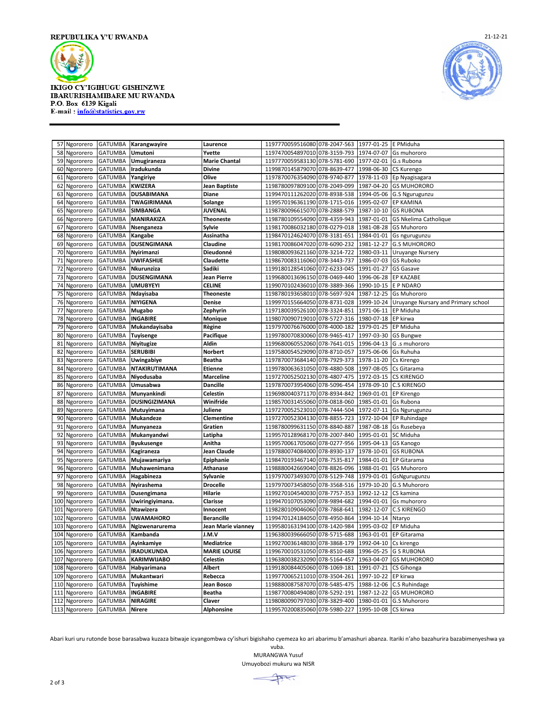

**IKIGO CY'IGIHUGU GISHINZWE** IBARURISHAMIBARE MU RWANDA P.O. Box 6139 Kigali E-mail: info@statistics.gov.rw



| 57<br>Ngororero  | <b>GATUMBA</b> | Karangwayire         | Laurence             | 1197770059516080 078-2047-563 |              | 1977-01-25 | E PMiduha                           |
|------------------|----------------|----------------------|----------------------|-------------------------------|--------------|------------|-------------------------------------|
| 58<br>Ngororero  | <b>GATUMBA</b> | Umutoni              | Yvette               | 1197470054897010 078-3159-793 |              | 1974-07-07 | Gs muhororo                         |
| 59<br>Ngororero  | <b>GATUMBA</b> | Umugiraneza          | <b>Marie Chantal</b> | 1197770059583130              | 078-5781-690 | 1977-02-01 | G.s Rubona                          |
| 60<br>Ngororero  | <b>GATUMBA</b> | Iradukunda           | <b>Divine</b>        | 1199870145879070 078-8639-477 |              | 1998-06-30 | CS Kurengo                          |
| 61<br>Ngororero  | <b>GATUMBA</b> | Yangiriye            | Olive                | 1197870076354090 078-9740-877 |              | 1978-11-03 | Ep Nyagisagara                      |
| 62<br>Ngororero  | <b>GATUMBA</b> | <b>KWIZERA</b>       | Jean Baptiste        | 1198780097809100 078-2049-099 |              | 1987-04-20 | <b>GS MUHORORO</b>                  |
| Ngororero<br>63  | <b>GATUMBA</b> | <b>DUSABIMANA</b>    | <b>Diane</b>         | 1199470111262020              | 078-8938-538 | 1994-05-06 | G.S Ngurugunzu                      |
| 64<br>Ngororero  | <b>GATUMBA</b> | <b>TWAGIRIMANA</b>   | Solange              | 1199570196361190 078-1715-016 |              | 1995-02-07 | <b>EP KAMINA</b>                    |
| 65<br>Ngororero  | <b>GATUMBA</b> | SIMBANGA             | JUVENAL              | 1198780096615070 078-2888-579 |              | 1987-10-10 | <b>GS RUBONA</b>                    |
| 66<br>Ngororero  | <b>GATUMBA</b> | MANIRAKIZA           | <b>Theoneste</b>     | 1198780109554090 078-4359-943 |              | 1987-01-01 | GS Nkelima Catholique               |
| 67<br>Ngororero  | <b>GATUMBA</b> | Nsenganeza           | Sylvie               | 1198170086032180 078-0279-018 |              | 1981-08-28 | <b>GS Muhororo</b>                  |
| Ngororero<br>68  | <b>GATUMBA</b> | Kangabe              | Assinatha            | 1198470124624070 078-3181-651 |              | 1984-01-01 | Gs ngurugunzu                       |
| 69<br>Ngororero  | <b>GATUMBA</b> | DUSENGIMANA          | Claudine             | 1198170086047020 078-6090-232 |              | 1981-12-27 | <b>G.S MUHORORO</b>                 |
| 70<br>Ngororero  | <b>GATUMBA</b> | Nyirimanzi           | Dieudonné            | 1198080093621160 078-3214-722 |              | 1980-03-11 | <b>Uruyange Nursery</b>             |
| 71<br>Ngororero  | <b>GATUMBA</b> | <b>UWIFASHIJE</b>    | Claudette            | 1198670083116060              | 078-3443-737 | 1986-07-03 | <b>GS Ruboko</b>                    |
| 72<br>Ngororero  | <b>GATUMBA</b> | Nkurunziza           | Sadiki               | 1199180128541060 072-6233-045 |              | 1991-01-27 | <b>GS Gasave</b>                    |
| 73<br>Ngororero  | <b>GATUMBA</b> | <b>DUSENGIMANA</b>   | <b>Jean Pierre</b>   | 1199680013696150 078-0469-440 |              | 1996-06-28 | <b>EP KAZABE</b>                    |
| 74               |                |                      | <b>CELINE</b>        |                               |              |            | E P NDARO                           |
| Ngororero        | <b>GATUMBA</b> | <b>UMUBYEYI</b>      |                      | 1199070102436010 078-3889-366 |              | 1990-10-15 |                                     |
| 75<br>Ngororero  | <b>GATUMBA</b> | Ndayisaba            | Theoneste            | 1198780193658010 078-5697-924 |              | 1987-12-25 | <b>Gs Muhororo</b>                  |
| Ngororero<br>76  | <b>GATUMBA</b> | <b>NIYIGENA</b>      | Denise               | 1199970155664050 078-8731-028 |              | 1999-10-24 | Uruyange Nursary and Primary school |
| 77<br>Ngororero  | <b>GATUMBA</b> | Mugabo               | Zephyrin             | 1197180039526100 078-3324-851 |              | 1971-06-11 | EP Miduha                           |
| 78<br>Ngororero  | <b>GATUMBA</b> | <b>INGABIRE</b>      | Monique              | 1198070090719010 078-5727-316 |              | 1980-07-18 | EP kirwa                            |
| 79<br>Ngororero  | <b>GATUMBA</b> | Mukandayisaba        | Règine               | 1197970076676000              | 078-4000-182 | 1979-01-25 | EP Miduha                           |
| 80<br>Ngororero  | <b>GATUMBA</b> | <b>Tuyisenge</b>     | Pacifique            | 1199780070830060              | 078-9465-417 | 1997-03-30 | <b>GS Bungwe</b>                    |
| Ngororero<br>81  | <b>GATUMBA</b> | Niyitugize           | Aldin                | 1199680060552060 078-7641-015 |              | 1996-04-13 | G .s muhororo                       |
| 82<br>Ngororero  | <b>GATUMBA</b> | <b>SERUBIBI</b>      | Norbert              | 1197580054529090 078-8710-057 |              | 1975-06-06 | Gs Ruhuha                           |
| 83<br>Ngororero  | <b>GATUMBA</b> | Uwingabiye           | Beatha               | 1197870073684140 078-7929-373 |              | 1978-11-20 | Cs Kirengo                          |
| Ngororero<br>84  | <b>GATUMBA</b> | NTAKIRUTIMANA        | <b>Etienne</b>       | 1199780063631050              | 078-4880-508 | 1997-08-05 | Cs Gitarama                         |
| 85<br>Ngororero  | <b>GATUMBA</b> | Niyodusaba           | <b>Marceline</b>     | 1197270052502130 078-4807-475 |              | 1972-03-15 | <b>CS KIRENGO</b>                   |
| 86<br>Ngororero  | <b>GATUMBA</b> | Umusabwa             | <b>Dancille</b>      | 1197870073954060 078-5096-454 |              | 1978-09-10 | <b>C.S KIRENGO</b>                  |
| Ngororero<br>87  | <b>GATUMBA</b> | Munyankindi          | Celestin             | 1196980040371170 078-8934-842 |              | 1969-01-01 | <b>EP Kirengo</b>                   |
| 88<br>Ngororero  | <b>GATUMBA</b> | <b>DUSINGIZIMANA</b> | Winifride            | 1198570031455060 078-0818-060 |              | 1985-01-01 | Gs Rubona                           |
| Ngororero<br>89  | <b>GATUMBA</b> | Mutuyimana           | Juliene              | 1197270052523010 078-7444-504 |              | 1972-07-11 | <b>Gs Ngurugunzu</b>                |
| 90<br>Ngororero  | <b>GATUMBA</b> | Mukandeze            | Clementine           | 1197270052304130 078-8855-723 |              | 1972-10-04 | EP Ruhindage                        |
| 91<br>Ngororero  | <b>GATUMBA</b> | Munyaneza            | Gratien              | 1198780099631150 078-8840-887 |              | 1987-08-18 | Gs Rusebeya                         |
| 92<br>Ngororero  | <b>GATUMBA</b> | Mukanyandwi          | Latipha              | 1199570128968170              | 078-2007-840 | 1995-01-01 | SC Miduha                           |
| 93<br>Ngororero  | <b>GATUMBA</b> | <b>Byukusenge</b>    | Anitha               | 1199570061705060 078-0277-956 |              | 1995-04-13 | <b>GS Kanogo</b>                    |
| 94<br>Ngororero  | <b>GATUMBA</b> | Kagiraneza           | Jean Claude          | 1197880074084000 078-8930-137 |              | 1978-10-01 | <b>GS RUBONA</b>                    |
| 95<br>Ngororero  | <b>GATUMBA</b> | Mujawamariya         | Epiphanie            | 1198470193467140 078-7535-817 |              | 1984-01-01 | <b>EP Gitarama</b>                  |
| 96<br>Ngororero  | <b>GATUMBA</b> | Muhawenimana         | Athanase             | 1198880042669040 078-8826-096 |              | 1988-01-01 | <b>GS Muhororo</b>                  |
| Ngororero<br>97  | <b>GATUMBA</b> | Hagabineza           | Sylvanie             | 1197970073493070              | 078-5129-748 | 1979-01-01 | GsNgurugunzu                        |
| 98<br>Ngororero  | <b>GATUMBA</b> | Nyirashema           | <b>Drocelle</b>      | 1197970073458050 078-3568-516 |              | 1979-10-20 | G.S Muhororo                        |
| 99<br>Ngororero  | <b>GATUMBA</b> | Dusengimana          | Hilarie              | 1199270104540030 078-7757-353 |              | 1992-12-12 | CS kamina                           |
| 100<br>Ngororero | <b>GATUMBA</b> | Uwiringiyimana.      | Clarisse             | 1199470107053090              | 078-9894-682 | 1994-01-01 | Gs muhororo                         |
| 101<br>Ngororero | <b>GATUMBA</b> | <b>Ntawizera</b>     | Innocent             | 1198280109046060              | 078-7868-641 | 1982-12-07 | <b>C.S KIRENGO</b>                  |
| 102<br>Ngororero | <b>GATUMBA</b> | <b>UWAMAHORO</b>     | <b>Berancille</b>    | 1199470124184050 078-4950-864 |              | 1994-10-14 | Ntaryo                              |
| 103<br>Ngororero | <b>GATUMBA</b> | Ngizwenarurema       | Jean Marie vianney   | 1199580163194100 078-1420-984 |              | 1995-03-02 | EP Miduha                           |
| 104<br>Ngororero | <b>GATUMBA</b> | Kambanda             | J.M.V                | 1196380039666050 078-5715-688 |              | 1963-01-01 | EP Gitarama                         |
| Ngororero<br>105 | <b>GATUMBA</b> | Ayinkamiye           | <b>Mediatrice</b>    | 1199270036148030              | 078-3868-179 | 1992-04-10 | Cs kirengo                          |
| 106<br>Ngororero | <b>GATUMBA</b> | <b>IRADUKUNDA</b>    | <b>MARIE LOUISE</b>  | 1199670010531050 078-8510-688 |              | 1996-05-25 | <b>G S RUBONA</b>                   |
| 107<br>Ngororero | <b>GATUMBA</b> | <b>KARIMWIJABO</b>   | Celestin             | 1196380038232090 078-5164-457 |              | 1963-04-07 | <b>GS MUHORORO</b>                  |
|                  |                |                      | <b>Albert</b>        |                               |              |            |                                     |
| 108<br>Ngororero | <b>GATUMBA</b> | Habyarimana          |                      | 1199180084405060              | 078-1069-181 | 1991-07-21 | CS Gihonga                          |
| 109<br>Ngororero | <b>GATUMBA</b> | Mukantwari           | Rebecca              | 1199770065211010 078-3504-261 |              | 1997-10-22 | EP kirwa                            |
| 110<br>Ngororero | <b>GATUMBA</b> | Tuyishime            | Jean Bosco           | 1198880087587070              | 078-5485-475 | 1988-12-06 | C.S Ruhindage                       |
| 111<br>Ngororero | <b>GATUMBA</b> | <b>INGABIRE</b>      | <b>Beatha</b>        | 1198770080494080 078-5292-191 |              | 1987-12-22 | <b>GS MUHORORO</b>                  |
| 112<br>Ngororero | <b>GATUMBA</b> | <b>NIRAGIRE</b>      | Claver               | 1198080090797030 078-3829-400 |              | 1980-01-01 | G.S Muhororo                        |
| 113 Ngororero    | <b>GATUMBA</b> | <b>Nirere</b>        | <b>Alphonsine</b>    | 1199570200835060 078-5980-227 |              | 1995-10-08 | CS kirwa                            |

Abari kuri uru rutonde bose barasabwa kuzaza bitwaje icyangombwa cy'ishuri bigishaho cyemeza ko ari abarimu b'amashuri abanza. Itariki n'aho bazahurira bazabimenyeshwa ya

vuba. MURANGWA Yusuf Umuyobozi mukuru wa NISR